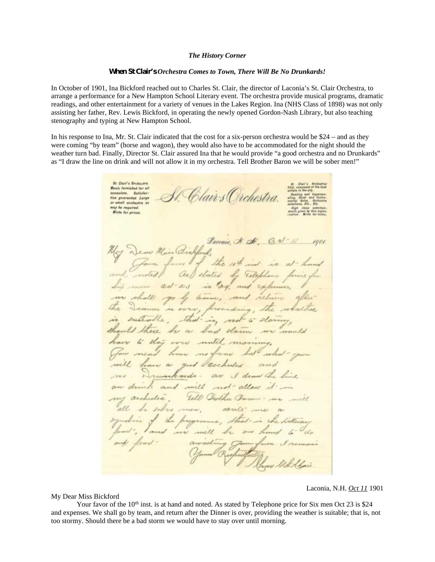## *The History Corner*

## *When St Clair's Orchestra Comes to Town, There Will Be No Drunkards!*

In October of 1901, Ina Bickford reached out to Charles St. Clair, the director of Laconia's St. Clair Orchestra, to arrange a performance for a New Hampton School Literary event. The orchestra provide musical programs, dramatic readings, and other entertainment for a variety of venues in the Lakes Region. Ina (NHS Class of 1898) was not only assisting her father, Rev. Lewis Bickford, in operating the newly opened Gordon-Nash Library, but also teaching stenography and typing at New Hampton School.

In his response to Ina, Mr. St. Clair indicated that the cost for a six-person orchestra would be \$24 – and as they were coming "by team" (horse and wagon), they would also have to be accommodated for the night should the weather turn bad. Finally, Director St. Clair assured Ina that he would provide "a good orchestra and no Drunkards" as "I draw the line on drink and will not allow it in my orchestra. Tell Brother Baron we will be sober men!"

**St. Clair's Drahastre** Music fornished for all Clair:s Orchestra. sconsists. Batisfac tion guaranted. Large or small orchestra may be required.<br>Write for prices Pacenia, N. A. auf sta  $x_3$ ad and expense les  $2l$  $\overline{AB}$ 

## My Dear Miss Bickford

Laconia, N.H. *Oct 11* 1901

Your favor of the  $10<sup>th</sup>$  inst. is at hand and noted. As stated by Telephone price for Six men Oct 23 is \$24 and expenses. We shall go by team, and return after the Dinner is over, providing the weather is suitable; that is, not too stormy. Should there be a bad storm we would have to stay over until morning.